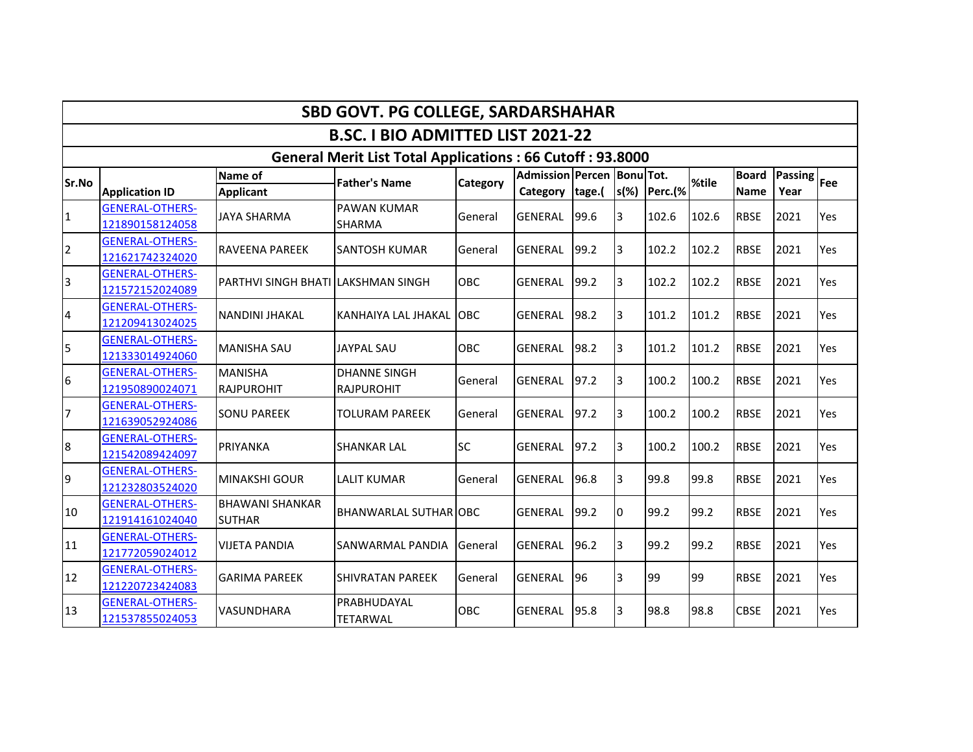|                |                                           |                                         | <b>SBD GOVT. PG COLLEGE, SARDARSHAHAR</b>                        |                 |                                                 |      |                |         |       |                             |                            |     |
|----------------|-------------------------------------------|-----------------------------------------|------------------------------------------------------------------|-----------------|-------------------------------------------------|------|----------------|---------|-------|-----------------------------|----------------------------|-----|
|                |                                           |                                         | <b>B.SC. I BIO ADMITTED LIST 2021-22</b>                         |                 |                                                 |      |                |         |       |                             |                            |     |
|                |                                           |                                         | <b>General Merit List Total Applications: 66 Cutoff: 93.8000</b> |                 |                                                 |      |                |         |       |                             |                            |     |
| Sr.No          | <b>Application ID</b>                     | <b>Name of</b><br><b>Applicant</b>      | <b>Father's Name</b>                                             | <b>Category</b> | Admission Percen Bonu Tot.<br>Category   tage.( |      | $s(\%)$        | Perc.(% | %tile | <b>Board</b><br><b>Name</b> | <b>Passing</b> Fee<br>Year |     |
| $\mathbf{1}$   | <b>GENERAL-OTHERS-</b><br>121890158124058 | <b>JAYA SHARMA</b>                      | <b>PAWAN KUMAR</b><br>SHARMA                                     | General         | <b>GENERAL</b>                                  | 99.6 | 3              | 102.6   | 102.6 | <b>RBSE</b>                 | 2021                       | Yes |
| $\overline{2}$ | <b>GENERAL-OTHERS-</b><br>121621742324020 | <b>RAVEENA PAREEK</b>                   | <b>SANTOSH KUMAR</b>                                             | General         | <b>GENERAL</b>                                  | 99.2 | 3              | 102.2   | 102.2 | <b>RBSE</b>                 | 2021                       | Yes |
| 3              | <b>GENERAL-OTHERS-</b><br>121572152024089 | PARTHVI SINGH BHATI LAKSHMAN SINGH      |                                                                  | OBC             | <b>GENERAL</b>                                  | 99.2 | 3              | 102.2   | 102.2 | <b>RBSE</b>                 | 2021                       | Yes |
| 4              | <b>GENERAL-OTHERS-</b><br>121209413024025 | <b>NANDINI JHAKAL</b>                   | <b>KANHAIYA LAL JHAKAL</b>                                       | OBC             | <b>GENERAL</b>                                  | 98.2 | 3              | 101.2   | 101.2 | <b>RBSE</b>                 | 2021                       | Yes |
| 5              | <b>GENERAL-OTHERS-</b><br>121333014924060 | <b>MANISHA SAU</b>                      | <b>JAYPAL SAU</b>                                                | OBC             | <b>GENERAL</b>                                  | 98.2 | 3              | 101.2   | 101.2 | <b>RBSE</b>                 | 2021                       | Yes |
| 6              | <b>GENERAL-OTHERS-</b><br>121950890024071 | <b>MANISHA</b><br><b>RAJPUROHIT</b>     | <b>DHANNE SINGH</b><br><b>RAJPUROHIT</b>                         | General         | <b>GENERAL</b>                                  | 97.2 | 3              | 100.2   | 100.2 | <b>RBSE</b>                 | 2021                       | Yes |
| 7              | <b>GENERAL-OTHERS-</b><br>121639052924086 | <b>SONU PAREEK</b>                      | TOLURAM PAREEK                                                   | General         | <b>GENERAL</b>                                  | 97.2 | 3              | 100.2   | 100.2 | <b>RBSE</b>                 | 2021                       | Yes |
| 8              | <b>GENERAL-OTHERS-</b><br>121542089424097 | PRIYANKA                                | <b>SHANKAR LAL</b>                                               | <b>SC</b>       | <b>GENERAL</b>                                  | 97.2 | 3              | 100.2   | 100.2 | <b>RBSE</b>                 | 2021                       | Yes |
| 9              | <b>GENERAL-OTHERS-</b><br>121232803524020 | <b>MINAKSHI GOUR</b>                    | <b>LALIT KUMAR</b>                                               | General         | <b>GENERAL</b>                                  | 96.8 | 3              | 99.8    | 99.8  | <b>RBSE</b>                 | 2021                       | Yes |
| 10             | <b>GENERAL-OTHERS-</b><br>121914161024040 | <b>BHAWANI SHANKAR</b><br><b>SUTHAR</b> | BHANWARLAL SUTHAR OBC                                            |                 | <b>GENERAL</b>                                  | 99.2 | 0              | 99.2    | 99.2  | <b>RBSE</b>                 | 2021                       | Yes |
| 11             | <b>GENERAL-OTHERS-</b><br>121772059024012 | <b>VIJETA PANDIA</b>                    | SANWARMAL PANDIA                                                 | General         | <b>GENERAL</b>                                  | 96.2 | $\overline{3}$ | 99.2    | 99.2  | <b>RBSE</b>                 | 2021                       | Yes |
| 12             | <b>GENERAL-OTHERS-</b><br>121220723424083 | <b>GARIMA PAREEK</b>                    | <b>SHIVRATAN PAREEK</b>                                          | General         | <b>GENERAL</b>                                  | 196  | 3              | 99      | 99    | <b>RBSE</b>                 | 2021                       | Yes |
| 13             | <b>GENERAL-OTHERS-</b><br>121537855024053 | <b>VASUNDHARA</b>                       | PRABHUDAYAL<br>TETARWAL                                          | OBC             | <b>GENERAL</b>                                  | 95.8 | 3              | 98.8    | 98.8  | <b>CBSE</b>                 | 2021                       | Yes |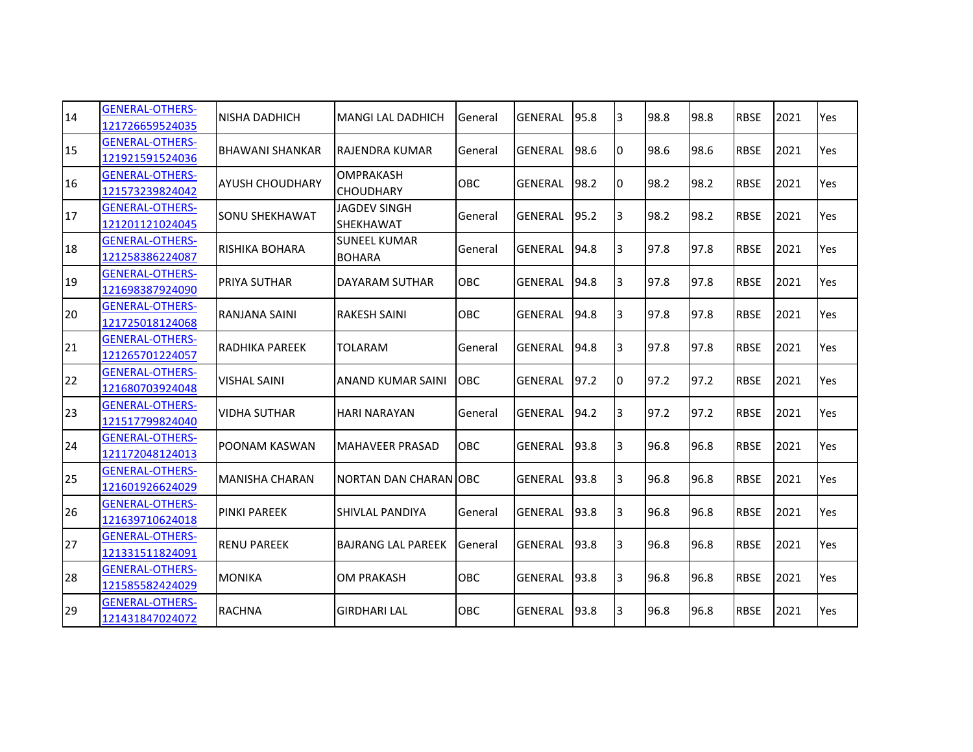| 14 | <b>GENERAL-OTHERS-</b><br>121726659524035 | <b>NISHA DADHICH</b>   | <b>MANGI LAL DADHICH</b>             | General    | <b>GENERAL</b> | 95.8 | 3  | 98.8 | 98.8 | <b>RBSE</b> | 2021 | Yes |
|----|-------------------------------------------|------------------------|--------------------------------------|------------|----------------|------|----|------|------|-------------|------|-----|
| 15 | <b>GENERAL-OTHERS-</b><br>121921591524036 | <b>BHAWANI SHANKAR</b> | <b>RAJENDRA KUMAR</b>                | General    | <b>GENERAL</b> | 98.6 | 10 | 98.6 | 98.6 | <b>RBSE</b> | 2021 | Yes |
| 16 | <b>GENERAL-OTHERS-</b><br>121573239824042 | <b>AYUSH CHOUDHARY</b> | <b>OMPRAKASH</b><br><b>CHOUDHARY</b> | <b>OBC</b> | <b>GENERAL</b> | 98.2 | IО | 98.2 | 98.2 | <b>RBSE</b> | 2021 | Yes |
| 17 | <b>GENERAL-OTHERS-</b><br>121201121024045 | <b>SONU SHEKHAWAT</b>  | <b>JAGDEV SINGH</b><br>SHEKHAWAT     | General    | <b>GENERAL</b> | 95.2 | l3 | 98.2 | 98.2 | <b>RBSE</b> | 2021 | Yes |
| 18 | <b>GENERAL-OTHERS-</b><br>121258386224087 | IRISHIKA BOHARA        | <b>SUNEEL KUMAR</b><br><b>BOHARA</b> | General    | <b>GENERAL</b> | 94.8 | 3  | 97.8 | 97.8 | <b>RBSE</b> | 2021 | Yes |
| 19 | <b>GENERAL-OTHERS-</b><br>121698387924090 | <b>PRIYA SUTHAR</b>    | DAYARAM SUTHAR                       | <b>OBC</b> | <b>GENERAL</b> | 94.8 | 3  | 97.8 | 97.8 | <b>RBSE</b> | 2021 | Yes |
| 20 | <b>GENERAL-OTHERS-</b><br>121725018124068 | RANJANA SAINI          | <b>RAKESH SAINI</b>                  | OBC        | <b>GENERAL</b> | 94.8 | l3 | 97.8 | 97.8 | <b>RBSE</b> | 2021 | Yes |
| 21 | <b>GENERAL-OTHERS-</b><br>121265701224057 | RADHIKA PAREEK         | TOLARAM                              | General    | <b>GENERAL</b> | 94.8 | 3  | 97.8 | 97.8 | <b>RBSE</b> | 2021 | Yes |
| 22 | <b>GENERAL-OTHERS-</b><br>121680703924048 | <b>VISHAL SAINI</b>    | <b>ANAND KUMAR SAINI</b>             | <b>OBC</b> | <b>GENERAL</b> | 97.2 | IО | 97.2 | 97.2 | <b>RBSE</b> | 2021 | Yes |
| 23 | <b>GENERAL-OTHERS-</b><br>121517799824040 | <b>VIDHA SUTHAR</b>    | <b>HARI NARAYAN</b>                  | General    | <b>GENERAL</b> | 94.2 | l3 | 97.2 | 97.2 | <b>RBSE</b> | 2021 | Yes |
| 24 | <b>GENERAL-OTHERS-</b><br>121172048124013 | <b>POONAM KASWAN</b>   | MAHAVEER PRASAD                      | <b>OBC</b> | <b>GENERAL</b> | 93.8 | 3  | 96.8 | 96.8 | <b>RBSE</b> | 2021 | Yes |
| 25 | <b>GENERAL-OTHERS-</b><br>121601926624029 | MANISHA CHARAN         | <b>NORTAN DAN CHARAN OBC</b>         |            | <b>GENERAL</b> | 93.8 | 3  | 96.8 | 96.8 | <b>RBSE</b> | 2021 | Yes |
| 26 | <b>GENERAL-OTHERS-</b><br>121639710624018 | <b>PINKI PAREEK</b>    | SHIVLAL PANDIYA                      | General    | <b>GENERAL</b> | 93.8 | 3  | 96.8 | 96.8 | <b>RBSE</b> | 2021 | Yes |
| 27 | <b>GENERAL-OTHERS-</b><br>121331511824091 | <b>RENU PAREEK</b>     | <b>BAJRANG LAL PAREEK</b>            | General    | <b>GENERAL</b> | 93.8 | l3 | 96.8 | 96.8 | <b>RBSE</b> | 2021 | Yes |
| 28 | <b>GENERAL-OTHERS-</b><br>121585582424029 | <b>MONIKA</b>          | <b>OM PRAKASH</b>                    | OBC        | <b>GENERAL</b> | 93.8 | l3 | 96.8 | 96.8 | <b>RBSE</b> | 2021 | Yes |
| 29 | <b>GENERAL-OTHERS-</b><br>121431847024072 | <b>RACHNA</b>          | <b>GIRDHARI LAL</b>                  | OBC        | <b>GENERAL</b> | 93.8 | 3  | 96.8 | 96.8 | <b>RBSE</b> | 2021 | Yes |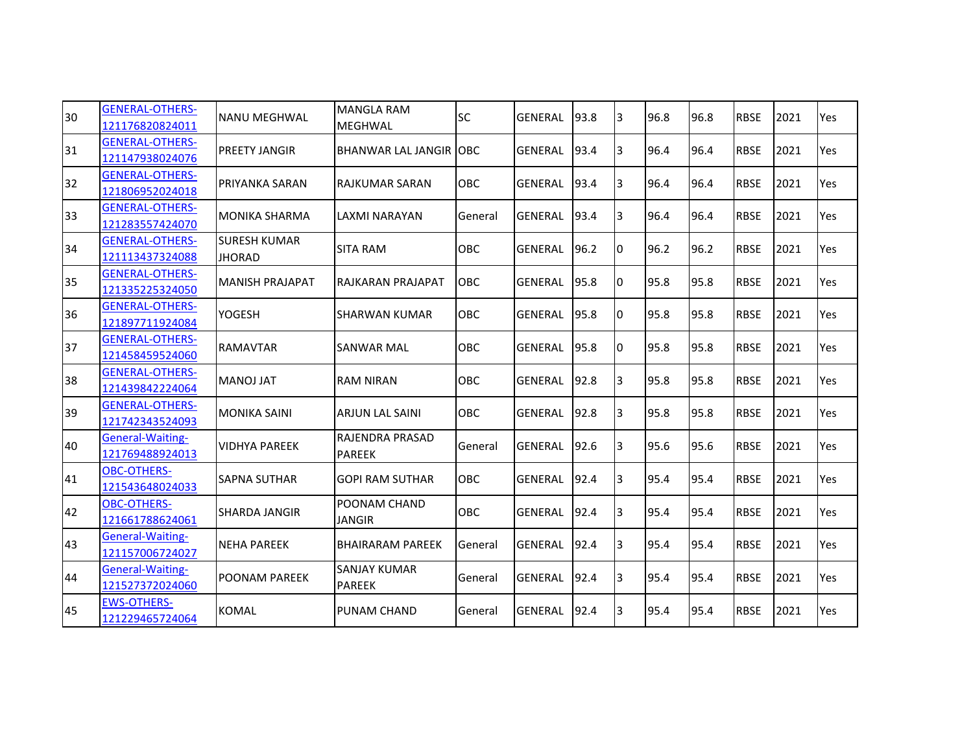| 30 | <b>GENERAL-OTHERS-</b><br>121176820824011 | <b>NANU MEGHWAL</b>                  | <b>MANGLA RAM</b><br>MEGHWAL         | <b>SC</b>  | <b>GENERAL</b> | 93.8 | 3  | 96.8 | 96.8 | <b>RBSE</b> | 2021 | Yes |
|----|-------------------------------------------|--------------------------------------|--------------------------------------|------------|----------------|------|----|------|------|-------------|------|-----|
| 31 | <b>GENERAL-OTHERS-</b><br>121147938024076 | <b>PREETY JANGIR</b>                 | <b>BHANWAR LAL JANGIR OBC</b>        |            | <b>GENERAL</b> | 93.4 | 3  | 96.4 | 96.4 | <b>RBSE</b> | 2021 | Yes |
| 32 | <b>GENERAL-OTHERS-</b><br>121806952024018 | <b>PRIYANKA SARAN</b>                | <b>RAJKUMAR SARAN</b>                | <b>OBC</b> | <b>GENERAL</b> | 93.4 | 3  | 96.4 | 96.4 | <b>RBSE</b> | 2021 | Yes |
| 33 | <b>GENERAL-OTHERS-</b><br>121283557424070 | <b>MONIKA SHARMA</b>                 | LAXMI NARAYAN                        | General    | <b>GENERAL</b> | 93.4 | 3  | 96.4 | 96.4 | <b>RBSE</b> | 2021 | Yes |
| 34 | <b>GENERAL-OTHERS-</b><br>121113437324088 | <b>SURESH KUMAR</b><br><b>JHORAD</b> | <b>SITA RAM</b>                      | OBC        | <b>GENERAL</b> | 96.2 | Iо | 96.2 | 96.2 | <b>RBSE</b> | 2021 | Yes |
| 35 | <b>GENERAL-OTHERS-</b><br>121335225324050 | <b>MANISH PRAJAPAT</b>               | RAJKARAN PRAJAPAT                    | <b>OBC</b> | <b>GENERAL</b> | 95.8 | Iо | 95.8 | 95.8 | <b>RBSE</b> | 2021 | Yes |
| 36 | <b>GENERAL-OTHERS-</b><br>121897711924084 | <b>YOGESH</b>                        | <b>SHARWAN KUMAR</b>                 | OBC        | <b>GENERAL</b> | 95.8 | 10 | 95.8 | 95.8 | <b>RBSE</b> | 2021 | Yes |
| 37 | <b>GENERAL-OTHERS-</b><br>121458459524060 | <b>RAMAVTAR</b>                      | <b>SANWAR MAL</b>                    | OBC        | <b>GENERAL</b> | 95.8 | Iо | 95.8 | 95.8 | <b>RBSE</b> | 2021 | Yes |
| 38 | <b>GENERAL-OTHERS-</b><br>121439842224064 | <b>MANOJ JAT</b>                     | <b>RAM NIRAN</b>                     | OBC        | <b>GENERAL</b> | 92.8 | 13 | 95.8 | 95.8 | <b>RBSE</b> | 2021 | Yes |
| 39 | <b>GENERAL-OTHERS-</b><br>121742343524093 | <b>MONIKA SAINI</b>                  | <b>ARJUN LAL SAINI</b>               | OBC        | <b>GENERAL</b> | 92.8 | 3  | 95.8 | 95.8 | <b>RBSE</b> | 2021 | Yes |
| 40 | General-Waiting-<br>121769488924013       | <b>VIDHYA PAREEK</b>                 | RAJENDRA PRASAD<br><b>PAREEK</b>     | General    | <b>GENERAL</b> | 92.6 | 3  | 95.6 | 95.6 | <b>RBSE</b> | 2021 | Yes |
| 41 | <b>OBC-OTHERS-</b><br>121543648024033     | <b>SAPNA SUTHAR</b>                  | <b>GOPI RAM SUTHAR</b>               | <b>OBC</b> | <b>GENERAL</b> | 92.4 | 3  | 95.4 | 95.4 | <b>RBSE</b> | 2021 | Yes |
| 42 | <b>OBC-OTHERS-</b><br>121661788624061     | <b>SHARDA JANGIR</b>                 | POONAM CHAND<br><b>JANGIR</b>        | OBC        | <b>GENERAL</b> | 92.4 | 13 | 95.4 | 95.4 | <b>RBSE</b> | 2021 | Yes |
| 43 | General-Waiting-<br>121157006724027       | <b>NEHA PAREEK</b>                   | <b>BHAIRARAM PAREEK</b>              | General    | <b>GENERAL</b> | 92.4 | 3  | 95.4 | 95.4 | <b>RBSE</b> | 2021 | Yes |
| 44 | General-Waiting-<br>121527372024060       | <b>POONAM PAREEK</b>                 | <b>SANJAY KUMAR</b><br><b>PAREEK</b> | General    | <b>GENERAL</b> | 92.4 | 13 | 95.4 | 95.4 | <b>RBSE</b> | 2021 | Yes |
| 45 | <b>EWS-OTHERS-</b><br>121229465724064     | <b>KOMAL</b>                         | PUNAM CHAND                          | General    | GENERAL        | 92.4 | 13 | 95.4 | 95.4 | <b>RBSE</b> | 2021 | Yes |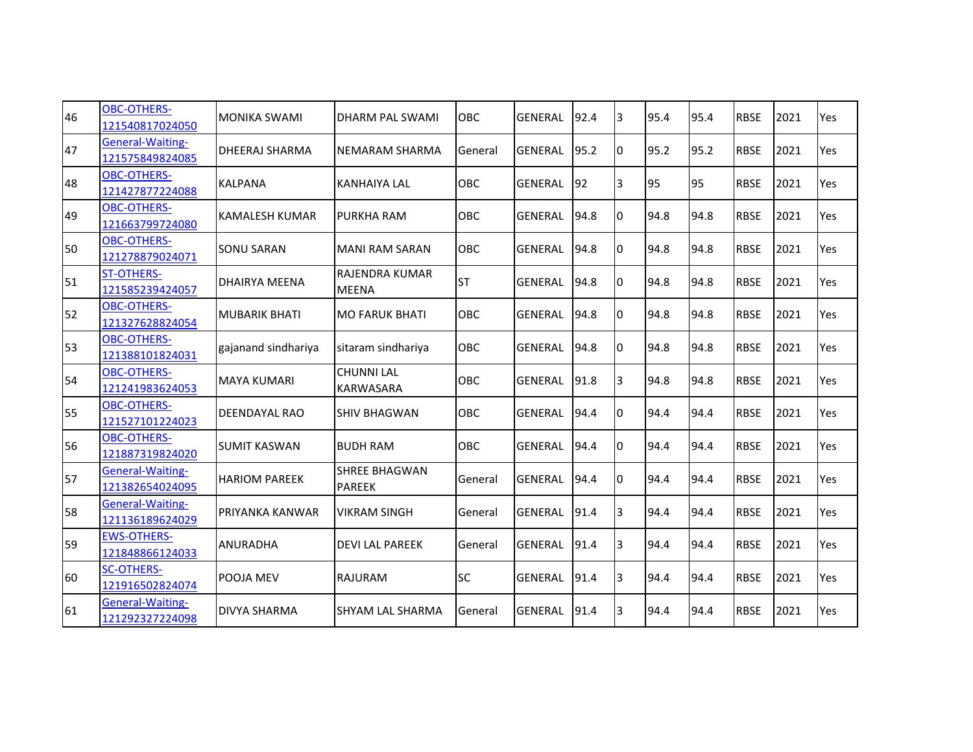| 46 | <b>OBC-OTHERS-</b><br>121540817024050      | <b>MONIKA SWAMI</b>    | <b>DHARM PAL SWAMI</b>                | OBC        | <b>GENERAL</b> | 92.4 | 3  | 95.4 | 95.4 | <b>RBSE</b> | 2021 | Yes |
|----|--------------------------------------------|------------------------|---------------------------------------|------------|----------------|------|----|------|------|-------------|------|-----|
| 47 | General-Waiting-<br>121575849824085        | <b>DHEERAJ SHARMA</b>  | <b>NEMARAM SHARMA</b>                 | General    | <b>GENERAL</b> | 95.2 | 0  | 95.2 | 95.2 | <b>RBSE</b> | 2021 | Yes |
| 48 | <b>OBC-OTHERS-</b><br>121427877224088      | <b>KALPANA</b>         | <b>KANHAIYA LAL</b>                   | OBC        | <b>GENERAL</b> | 92   | 3  | 95   | 95   | <b>RBSE</b> | 2021 | Yes |
| 49 | <b>OBC-OTHERS-</b><br>121663799724080      | <b>KAMALESH KUMAR</b>  | PURKHA RAM                            | OBC        | <b>GENERAL</b> | 94.8 | 10 | 94.8 | 94.8 | <b>RBSE</b> | 2021 | Yes |
| 50 | <b>OBC-OTHERS-</b><br>121278879024071      | <b>SONU SARAN</b>      | <b>MANI RAM SARAN</b>                 | <b>OBC</b> | <b>GENERAL</b> | 94.8 | 0  | 94.8 | 94.8 | <b>RBSE</b> | 2021 | Yes |
| 51 | <b>ST-OTHERS-</b><br>121585239424057       | DHAIRYA MEENA          | RAJENDRA KUMAR<br><b>MEENA</b>        | <b>ST</b>  | <b>GENERAL</b> | 94.8 | IО | 94.8 | 94.8 | <b>RBSE</b> | 2021 | Yes |
| 52 | <b>OBC-OTHERS-</b><br>121327628824054      | <b>MUBARIK BHATI</b>   | <b>MO FARUK BHATI</b>                 | OBC        | <b>GENERAL</b> | 94.8 | 10 | 94.8 | 94.8 | <b>RBSE</b> | 2021 | Yes |
| 53 | <b>OBC-OTHERS-</b><br>121388101824031      | gajanand sindhariya    | sitaram sindhariya                    | <b>OBC</b> | <b>GENERAL</b> | 94.8 | Iо | 94.8 | 94.8 | <b>RBSE</b> | 2021 | Yes |
| 54 | <b>OBC-OTHERS-</b><br>121241983624053      | <b>MAYA KUMARI</b>     | <b>CHUNNI LAL</b><br><b>KARWASARA</b> | OBC        | <b>GENERAL</b> | 91.8 | 3  | 94.8 | 94.8 | <b>RBSE</b> | 2021 | Yes |
| 55 | <b>OBC-OTHERS-</b><br>121527101224023      | DEENDAYAL RAO          | <b>SHIV BHAGWAN</b>                   | <b>OBC</b> | <b>GENERAL</b> | 94.4 | 10 | 94.4 | 94.4 | <b>RBSE</b> | 2021 | Yes |
| 56 | <b>OBC-OTHERS-</b><br>121887319824020      | <b>SUMIT KASWAN</b>    | <b>BUDH RAM</b>                       | OBC        | <b>GENERAL</b> | 94.4 | Iо | 94.4 | 94.4 | <b>RBSE</b> | 2021 | Yes |
| 57 | General-Waiting-<br>121382654024095        | <b>HARIOM PAREEK</b>   | SHREE BHAGWAN<br><b>PAREEK</b>        | General    | <b>GENERAL</b> | 94.4 | IО | 94.4 | 94.4 | <b>RBSE</b> | 2021 | Yes |
| 58 | <b>General-Waiting-</b><br>121136189624029 | <b>PRIYANKA KANWAR</b> | <b>VIKRAM SINGH</b>                   | General    | <b>GENERAL</b> | 91.4 | 3  | 94.4 | 94.4 | <b>RBSE</b> | 2021 | Yes |
| 59 | <b>EWS-OTHERS-</b><br>121848866124033      | <b>ANURADHA</b>        | <b>DEVILAL PAREEK</b>                 | General    | <b>GENERAL</b> | 91.4 | 3  | 94.4 | 94.4 | <b>RBSE</b> | 2021 | Yes |
| 60 | <b>SC-OTHERS-</b><br>121916502824074       | POOJA MEV              | <b>RAJURAM</b>                        | <b>SC</b>  | <b>GENERAL</b> | 91.4 | l3 | 94.4 | 94.4 | <b>RBSE</b> | 2021 | Yes |
| 61 | <b>General-Waiting-</b><br>121292327224098 | DIVYA SHARMA           | <b>SHYAM LAL SHARMA</b>               | General    | <b>GENERAL</b> | 91.4 | 3  | 94.4 | 94.4 | <b>RBSE</b> | 2021 | Yes |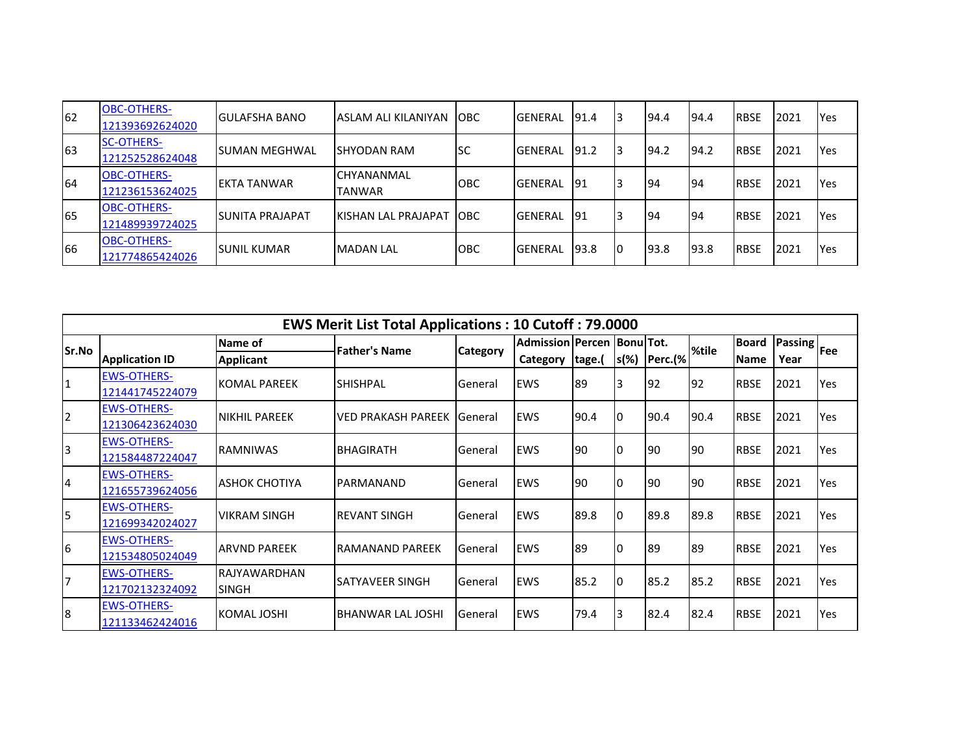| 62  | <b>OBC-OTHERS-</b><br>121393692624020 | <b>IGULAFSHA BANO</b>   | IASLAM ALI KILANIYAN               | <b>IOBC</b> | <b>IGENERAL</b> | 91.4  | 13 | 194.4 | 194.4      | <b>IRBSE</b> | 2021 | <b>Yes</b> |
|-----|---------------------------------------|-------------------------|------------------------------------|-------------|-----------------|-------|----|-------|------------|--------------|------|------------|
| 63  | <b>SC-OTHERS-</b><br>121252528624048  | <b>I</b> SUMAN MEGHWAL  | ISHYODAN RAM                       | lsc         | <b>IGENERAL</b> | 191.2 | 13 | 94.2  | 194.2      | <b>IRBSE</b> | 2021 | <b>Yes</b> |
| 64  | <b>OBC-OTHERS-</b><br>121236153624025 | <b>IEKTA TANWAR</b>     | <b>CHYANANMAL</b><br><b>TANWAR</b> | <b>OBC</b>  | <b>IGENERAL</b> | 91    | l3 | 194   | <b>194</b> | <b>IRBSE</b> | 2021 | <b>Yes</b> |
| 165 | <b>OBC-OTHERS-</b><br>121489939724025 | <b>ISUNITA PRAJAPAT</b> | IKISHAN LAL PRAJAPAT TOBC          |             | <b>IGENERAL</b> | 91    | l3 | 194   | 194        | <b>IRBSE</b> | 2021 | <b>Yes</b> |
| 66  | <b>OBC-OTHERS-</b><br>121774865424026 | <b>SUNIL KUMAR</b>      | <b>MADAN LAL</b>                   | ІОВС        | <b>IGENERAL</b> | 193.8 | 10 | 193.8 | 93.8       | <b>IRBSE</b> | 2021 | <b>Yes</b> |

|                |                                       |                               | <b>EWS Merit List Total Applications: 10 Cutoff: 79.0000</b> |                 |                                   |        |         |         |           |              |                               |            |
|----------------|---------------------------------------|-------------------------------|--------------------------------------------------------------|-----------------|-----------------------------------|--------|---------|---------|-----------|--------------|-------------------------------|------------|
| Sr.No          |                                       | Name of                       | <b>Father's Name</b>                                         | <b>Category</b> | <b>Admission Percen BonulTot.</b> |        |         |         | %tile     | <b>Board</b> | <b>Passing</b> <sub>Fee</sub> |            |
|                | <b>Application ID</b>                 | <b>Applicant</b>              |                                                              |                 | Category                          | tage.( | $s(\%)$ | Perc.(% |           | <b>Name</b>  | Year                          |            |
| $\mathbf{1}$   | <b>EWS-OTHERS-</b><br>121441745224079 | <b>KOMAL PAREEK</b>           | <b>SHISHPAL</b>                                              | General         | <b>EWS</b>                        | 89     | l3      | 192     | <b>92</b> | <b>RBSE</b>  | 2021                          | <b>Yes</b> |
| $\overline{2}$ | <b>EWS-OTHERS-</b><br>121306423624030 | <b>NIKHIL PAREEK</b>          | <b>VED PRAKASH PAREEK General</b>                            |                 | <b>EWS</b>                        | 90.4   | I٥      | 90.4    | 90.4      | <b>RBSE</b>  | 2021                          | Yes        |
| $\overline{3}$ | <b>EWS-OTHERS-</b><br>121584487224047 | <b>RAMNIWAS</b>               | <b>BHAGIRATH</b>                                             | General         | <b>EWS</b>                        | 190    | I0      | 190     | 190       | <b>RBSE</b>  | 2021                          | Yes        |
| $\overline{a}$ | <b>EWS-OTHERS-</b><br>121655739624056 | <b>ASHOK CHOTIYA</b>          | PARMANAND                                                    | General         | <b>EWS</b>                        | 190    | IО      | 190     | 190       | <b>RBSE</b>  | 2021                          | Yes        |
| 5              | <b>EWS-OTHERS-</b><br>121699342024027 | lVIKRAM SINGH                 | <b>REVANT SINGH</b>                                          | General         | <b>EWS</b>                        | 89.8   | I0      | 89.8    | 89.8      | <b>RBSE</b>  | 2021                          | <b>Yes</b> |
| 6              | <b>EWS-OTHERS-</b><br>121534805024049 | ARVND PAREEK                  | RAMANAND PAREEK                                              | General         | <b>EWS</b>                        | 189    | 10      | 189     | 89        | <b>RBSE</b>  | 2021                          | <b>Yes</b> |
| $\overline{7}$ | <b>EWS-OTHERS-</b><br>121702132324092 | IRAJYAWARDHAN<br><b>SINGH</b> | SATYAVEER SINGH                                              | General         | <b>EWS</b>                        | 85.2   | I0      | 85.2    | 85.2      | <b>RBSE</b>  | 2021                          | <b>Yes</b> |
| 8              | <b>EWS-OTHERS-</b><br>121133462424016 | KOMAL JOSHI                   | <b>BHANWAR LAL JOSHI</b>                                     | <b>General</b>  | <b>EWS</b>                        | 79.4   | l3      | 82.4    | 82.4      | <b>RBSE</b>  | 2021                          | Yes        |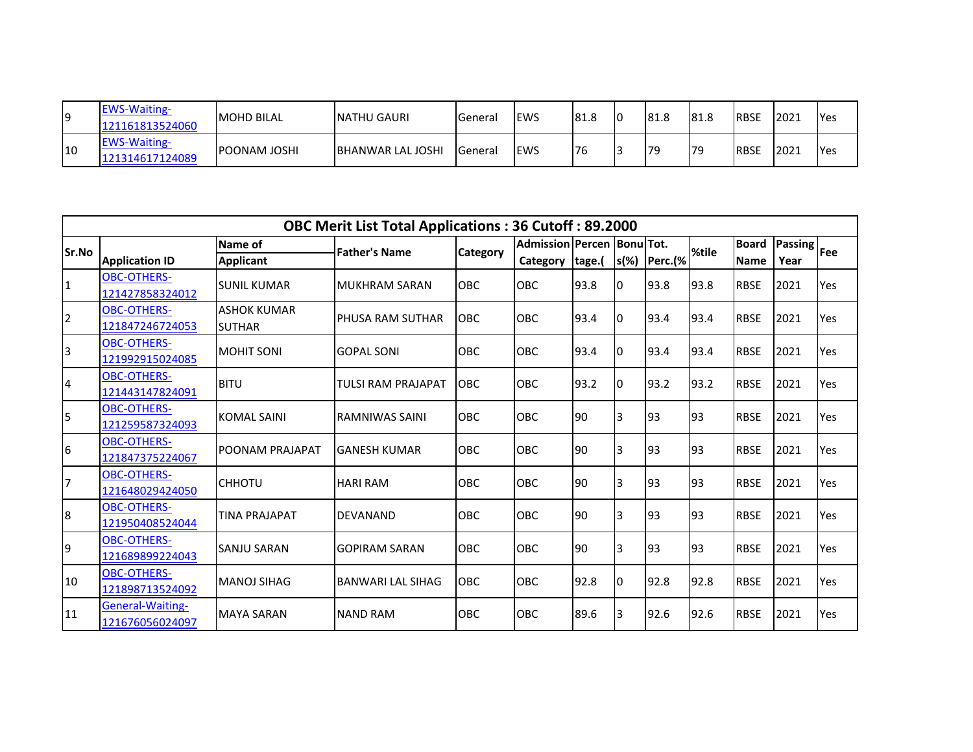| 19  | <b>EWS-Waiting-</b><br>121161813524060 | <b>MOHD BILAL</b>    | <b>INATHU GAURI</b>       | <b>I</b> General | lews | 81.8 | 181.8 | <b>81.8</b> | <b>IRBSE</b> | 2021  | <b>Yes</b> |
|-----|----------------------------------------|----------------------|---------------------------|------------------|------|------|-------|-------------|--------------|-------|------------|
| 110 | <b>EWS-Waiting-</b><br>121314617124089 | <b>IPOONAM JOSHI</b> | <b>IBHANWAR LAL JOSHI</b> | <b>I</b> General | lews | 176  | 79    | 179         | <b>RBSE</b>  | 12021 | <b>Yes</b> |

|                         |                                       |                                     | <b>OBC Merit List Total Applications: 36 Cutoff: 89.2000</b> |                 |                                        |           |         |         |       |                             |                                      |     |
|-------------------------|---------------------------------------|-------------------------------------|--------------------------------------------------------------|-----------------|----------------------------------------|-----------|---------|---------|-------|-----------------------------|--------------------------------------|-----|
| Sr.No                   | <b>Application ID</b>                 | Name of<br><b>Applicant</b>         | <b>Father's Name</b>                                         | <b>Category</b> | Admission Percen Bonu Tot.<br>Category | tage.(    | $s(\%)$ | Perc.(% | %tile | <b>Board</b><br><b>Name</b> | $\boxed{\text{Passing}}$ Fee<br>Year |     |
| $\mathbf{1}$            | <b>OBC-OTHERS-</b><br>121427858324012 | <b>SUNIL KUMAR</b>                  | <b>MUKHRAM SARAN</b>                                         | OBC             | OBC                                    | 93.8      | IО      | 93.8    | 93.8  | <b>RBSE</b>                 | 2021                                 | Yes |
| $\overline{2}$          | <b>OBC-OTHERS-</b><br>121847246724053 | <b>ASHOK KUMAR</b><br><b>SUTHAR</b> | PHUSA RAM SUTHAR                                             | <b>OBC</b>      | <b>OBC</b>                             | 93.4      | IО      | 93.4    | 93.4  | <b>RBSE</b>                 | 2021                                 | Yes |
| 3                       | <b>OBC-OTHERS-</b><br>121992915024085 | <b>MOHIT SONI</b>                   | <b>GOPAL SONI</b>                                            | OBC             | OBC                                    | 93.4      | IО      | 93.4    | 93.4  | <b>RBSE</b>                 | 2021                                 | Yes |
| $\overline{\mathbf{r}}$ | <b>OBC-OTHERS-</b><br>121443147824091 | <b>BITU</b>                         | <b>TULSI RAM PRAJAPAT</b>                                    | OBC             | OBC                                    | 93.2      | IО      | 93.2    | 93.2  | <b>RBSE</b>                 | 2021                                 | Yes |
| 5                       | <b>OBC-OTHERS-</b><br>121259587324093 | <b>KOMAL SAINI</b>                  | <b>RAMNIWAS SAINI</b>                                        | OBC             | <b>OBC</b>                             | <b>90</b> | I3      | 93      | 93    | <b>RBSE</b>                 | 2021                                 | Yes |
| 6                       | OBC-OTHERS-<br>121847375224067        | POONAM PRAJAPAT                     | <b>GANESH KUMAR</b>                                          | <b>OBC</b>      | <b>OBC</b>                             | 90        | I3      | 93      | 93    | <b>RBSE</b>                 | 2021                                 | Yes |
| $\overline{7}$          | <b>OBC-OTHERS-</b><br>121648029424050 | <b>CHHOTU</b>                       | <b>HARI RAM</b>                                              | OBC             | OBC                                    | 90        | IЗ      | 93      | 93    | <b>RBSE</b>                 | 2021                                 | Yes |
| 8                       | <b>OBC-OTHERS-</b><br>121950408524044 | <b>TINA PRAJAPAT</b>                | <b>DEVANAND</b>                                              | <b>OBC</b>      | OBC                                    | <b>90</b> | l3      | 93      | 93    | <b>RBSE</b>                 | 2021                                 | Yes |
| 9                       | <b>OBC-OTHERS-</b><br>121689899224043 | <b>SANJU SARAN</b>                  | <b>GOPIRAM SARAN</b>                                         | OBC             | OBC                                    | 90        | I3      | 93      | 93    | <b>RBSE</b>                 | 2021                                 | Yes |
| 10                      | <b>OBC-OTHERS-</b><br>121898713524092 | <b>MANOJ SIHAG</b>                  | <b>BANWARI LAL SIHAG</b>                                     | <b>OBC</b>      | <b>OBC</b>                             | 92.8      | IО      | 92.8    | 92.8  | <b>RBSE</b>                 | 2021                                 | Yes |
| 11                      | General-Waiting-<br>121676056024097   | <b>MAYA SARAN</b>                   | <b>NAND RAM</b>                                              | OBC             | OBC                                    | 89.6      | IЗ      | 92.6    | 92.6  | <b>RBSE</b>                 | 2021                                 | Yes |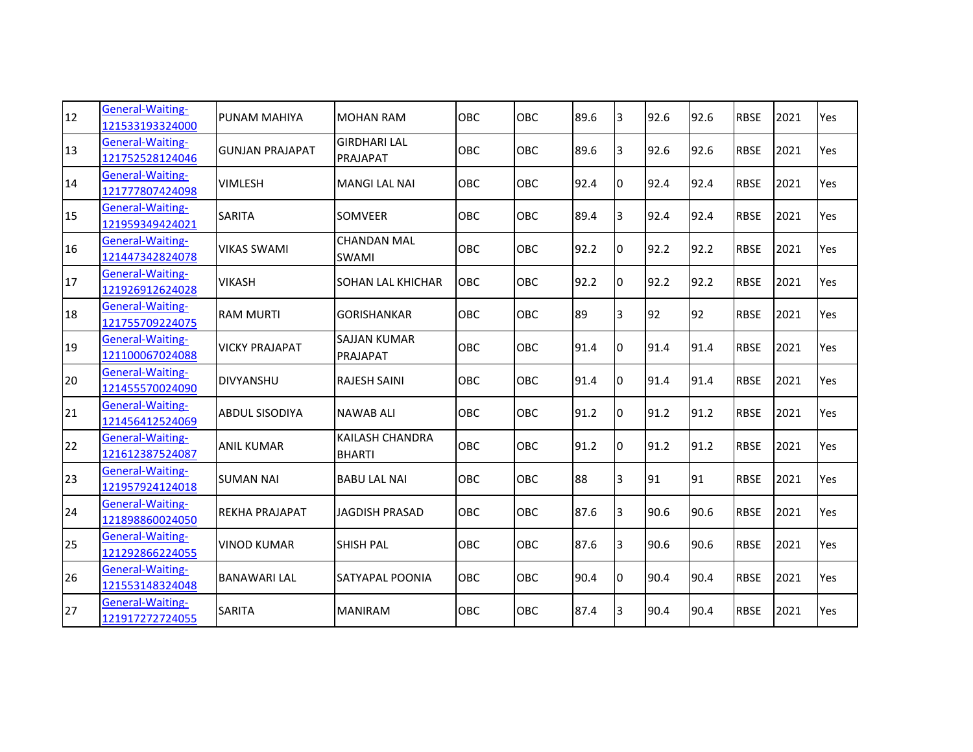| 12 | General-Waiting-<br>121533193324000        | PUNAM MAHIYA           | <b>MOHAN RAM</b>                        | OBC        | OBC | 89.6 | 3              | 92.6 | 92.6 | <b>RBSE</b> | 2021 | Yes |
|----|--------------------------------------------|------------------------|-----------------------------------------|------------|-----|------|----------------|------|------|-------------|------|-----|
| 13 | General-Waiting-<br>121752528124046        | <b>GUNJAN PRAJAPAT</b> | <b>GIRDHARI LAL</b><br>PRAJAPAT         | OBC        | OBC | 89.6 | $\overline{3}$ | 92.6 | 92.6 | <b>RBSE</b> | 2021 | Yes |
| 14 | General-Waiting-<br>121777807424098        | <b>VIMLESH</b>         | <b>MANGI LAL NAI</b>                    | OBC        | OBC | 92.4 | Iо             | 92.4 | 92.4 | <b>RBSE</b> | 2021 | Yes |
| 15 | General-Waiting-<br>121959349424021        | <b>SARITA</b>          | <b>SOMVEER</b>                          | <b>OBC</b> | OBC | 89.4 | 3              | 92.4 | 92.4 | <b>RBSE</b> | 2021 | Yes |
| 16 | General-Waiting-<br>121447342824078        | <b>VIKAS SWAMI</b>     | <b>CHANDAN MAL</b><br><b>SWAMI</b>      | <b>OBC</b> | OBC | 92.2 | Iо             | 92.2 | 92.2 | <b>RBSE</b> | 2021 | Yes |
| 17 | General-Waiting-<br>121926912624028        | <b>VIKASH</b>          | <b>SOHAN LAL KHICHAR</b>                | <b>OBC</b> | OBC | 92.2 | Iо             | 92.2 | 92.2 | <b>RBSE</b> | 2021 | Yes |
| 18 | General-Waiting-<br>121755709224075        | <b>RAM MURTI</b>       | <b>GORISHANKAR</b>                      | <b>OBC</b> | OBC | 89   | 3              | 92   | 92   | <b>RBSE</b> | 2021 | Yes |
| 19 | General-Waiting-<br>121100067024088        | <b>VICKY PRAJAPAT</b>  | <b>SAJJAN KUMAR</b><br>PRAJAPAT         | OBC        | OBC | 91.4 | Iо             | 91.4 | 91.4 | <b>RBSE</b> | 2021 | Yes |
| 20 | General-Waiting-<br>121455570024090        | <b>DIVYANSHU</b>       | <b>RAJESH SAINI</b>                     | OBC        | OBC | 91.4 | Iо             | 91.4 | 91.4 | <b>RBSE</b> | 2021 | Yes |
| 21 | General-Waiting-<br>121456412524069        | <b>ABDUL SISODIYA</b>  | <b>NAWAB ALI</b>                        | OBC        | OBC | 91.2 | 10             | 91.2 | 91.2 | <b>RBSE</b> | 2021 | Yes |
| 22 | General-Waiting-<br>121612387524087        | <b>ANIL KUMAR</b>      | <b>KAILASH CHANDRA</b><br><b>BHARTI</b> | OBC        | OBC | 91.2 | Iо             | 91.2 | 91.2 | <b>RBSE</b> | 2021 | Yes |
| 23 | General-Waiting-<br>121957924124018        | <b>SUMAN NAI</b>       | <b>BABU LAL NAI</b>                     | OBC        | OBC | 88   | 3              | 91   | 91   | <b>RBSE</b> | 2021 | Yes |
| 24 | <b>General-Waiting-</b><br>121898860024050 | <b>REKHA PRAJAPAT</b>  | <b>JAGDISH PRASAD</b>                   | OBC        | OBC | 87.6 | 3              | 90.6 | 90.6 | <b>RBSE</b> | 2021 | Yes |
| 25 | General-Waiting-<br>121292866224055        | <b>VINOD KUMAR</b>     | <b>SHISH PAL</b>                        | <b>OBC</b> | OBC | 87.6 | 3              | 90.6 | 90.6 | <b>RBSE</b> | 2021 | Yes |
| 26 | General-Waiting-<br>121553148324048        | <b>BANAWARI LAL</b>    | SATYAPAL POONIA                         | OBC        | OBC | 90.4 | Iо             | 90.4 | 90.4 | <b>RBSE</b> | 2021 | Yes |
| 27 | General-Waiting-<br>121917272724055        | <b>SARITA</b>          | <b>MANIRAM</b>                          | OBC        | OBC | 87.4 | l3             | 90.4 | 90.4 | <b>RBSE</b> | 2021 | Yes |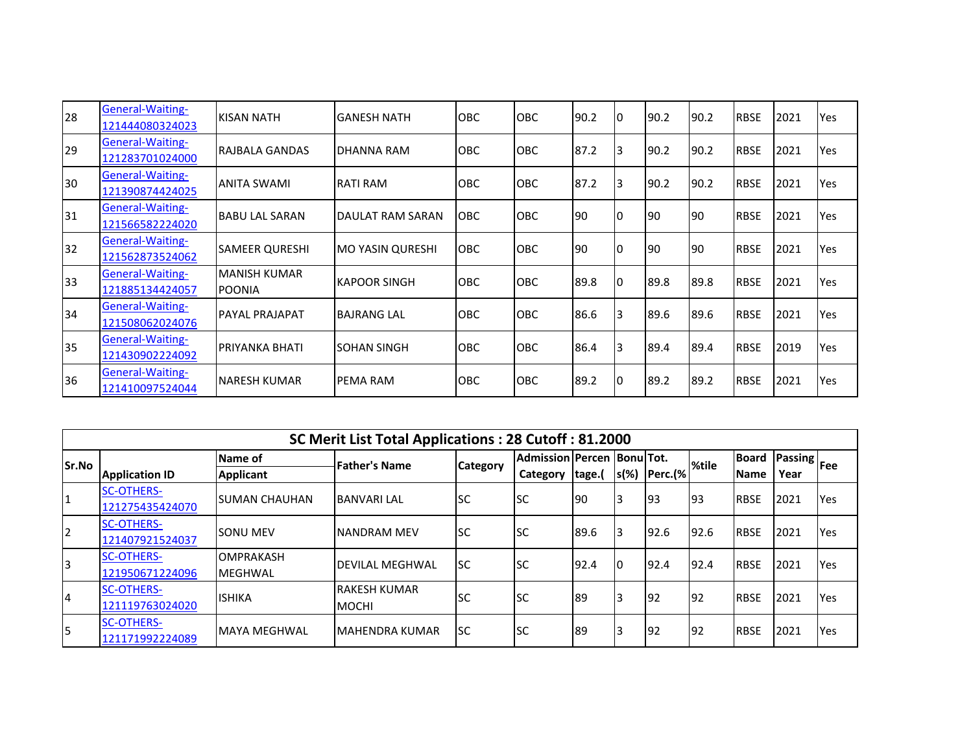| 28  | <b>General-Waiting-</b><br>121444080324023 | KISAN NATH                           | <b>GANESH NATH</b>      | <b>OBC</b> | <b>OBC</b> | 90.2 | IО | 90.2 | 90.2 | <b>RBSE</b> | 2021 | Yes |
|-----|--------------------------------------------|--------------------------------------|-------------------------|------------|------------|------|----|------|------|-------------|------|-----|
| 29  | <b>General-Waiting-</b><br>121283701024000 | RAJBALA GANDAS                       | DHANNA RAM              | <b>OBC</b> | <b>OBC</b> | 87.2 | l3 | 90.2 | 90.2 | <b>RBSE</b> | 2021 | Yes |
| 30  | General-Waiting-<br>121390874424025        | <b>ANITA SWAMI</b>                   | <b>RATI RAM</b>         | <b>OBC</b> | <b>OBC</b> | 87.2 | I3 | 90.2 | 90.2 | <b>RBSE</b> | 2021 | Yes |
| 31  | <b>General-Waiting-</b><br>121566582224020 | <b>BABU LAL SARAN</b>                | <b>DAULAT RAM SARAN</b> | <b>OBC</b> | <b>OBC</b> | 190  | 10 | 190  | 190  | <b>RBSE</b> | 2021 | Yes |
| 32  | General-Waiting-<br>121562873524062        | <b>SAMEER QURESHI</b>                | <b>MO YASIN QURESHI</b> | <b>OBC</b> | <b>OBC</b> | 190  |    | 190  | 190  | <b>RBSE</b> | 2021 | Yes |
| 33  | <b>General-Waiting-</b><br>121885134424057 | <b>MANISH KUMAR</b><br><b>POONIA</b> | <b>KAPOOR SINGH</b>     | <b>OBC</b> | <b>OBC</b> | 89.8 |    | 89.8 | 89.8 | <b>RBSE</b> | 2021 | Yes |
| 34  | <b>General-Waiting-</b><br>121508062024076 | <b>PAYAL PRAJAPAT</b>                | <b>BAJRANG LAL</b>      | <b>OBC</b> | <b>OBC</b> | 86.6 | 13 | 89.6 | 89.6 | <b>RBSE</b> | 2021 | Yes |
| 35  | <b>General-Waiting-</b><br>121430902224092 | <b>PRIYANKA BHATI</b>                | SOHAN SINGH             | <b>OBC</b> | <b>OBC</b> | 86.4 | l3 | 89.4 | 89.4 | <b>RBSE</b> | 2019 | Yes |
| 136 | <b>General-Waiting-</b><br>121410097524044 | <b>NARESH KUMAR</b>                  | PEMA RAM                | <b>OBC</b> | <b>OBC</b> | 89.2 |    | 89.2 | 89.2 | <b>RBSE</b> | 2021 | Yes |

|       |                                      |                             | SC Merit List Total Applications: 28 Cutoff: 81.2000 |                 |                                   |        |         |         |       |              |                   |            |
|-------|--------------------------------------|-----------------------------|------------------------------------------------------|-----------------|-----------------------------------|--------|---------|---------|-------|--------------|-------------------|------------|
| Sr.No |                                      | Name of                     | <b>Father's Name</b>                                 | <b>Category</b> | <b>Admission Percen BonulTot.</b> |        |         |         | %tile | <b>Board</b> | u   Passing   Fee |            |
|       | <b>Application ID</b>                | <b>Applicant</b>            |                                                      |                 | Category                          | tage.( | $s(\%)$ | Perc.(% |       | <b>IName</b> | Year              |            |
| 1     | <b>SC-OTHERS-</b><br>121275435424070 | <b>ISUMAN CHAUHAN</b>       | IBANVARI LAL                                         | lsc             | <b>SC</b>                         | 190    | l3      | 93      | 193   | <b>RBSE</b>  | 2021              | <b>Yes</b> |
| 2     | <b>SC-OTHERS-</b><br>121407921524037 | <b>SONU MEV</b>             | <b>NANDRAM MEV</b>                                   | lsc             | lsc                               | 89.6   | l3      | 92.6    | 92.6  | <b>RBSE</b>  | 2021              | <b>Yes</b> |
| 3     | <b>SC-OTHERS-</b><br>121950671224096 | <b>OMPRAKASH</b><br>MEGHWAL | IDEVILAL MEGHWAL                                     | lsc             | lsc                               | 92.4   | I٥      | 92.4    | 92.4  | <b>RBSE</b>  | 2021              | <b>Yes</b> |
| 14    | <b>SC-OTHERS-</b><br>121119763024020 | <b>ISHIKA</b>               | IRAKESH KUMAR<br><b>MOCHI</b>                        | <b>SC</b>       | lsc                               | 89     |         | 92      | 192   | <b>RBSE</b>  | 2021              | <b>Yes</b> |
| 5     | <b>SC-OTHERS-</b><br>121171992224089 | <b>IMAYA MEGHWAL</b>        | <b>IMAHENDRA KUMAR</b>                               | Isc             | <b>SC</b>                         | 89     | ıз      | 92      | 192   | <b>RBSE</b>  | 2021              | Yes        |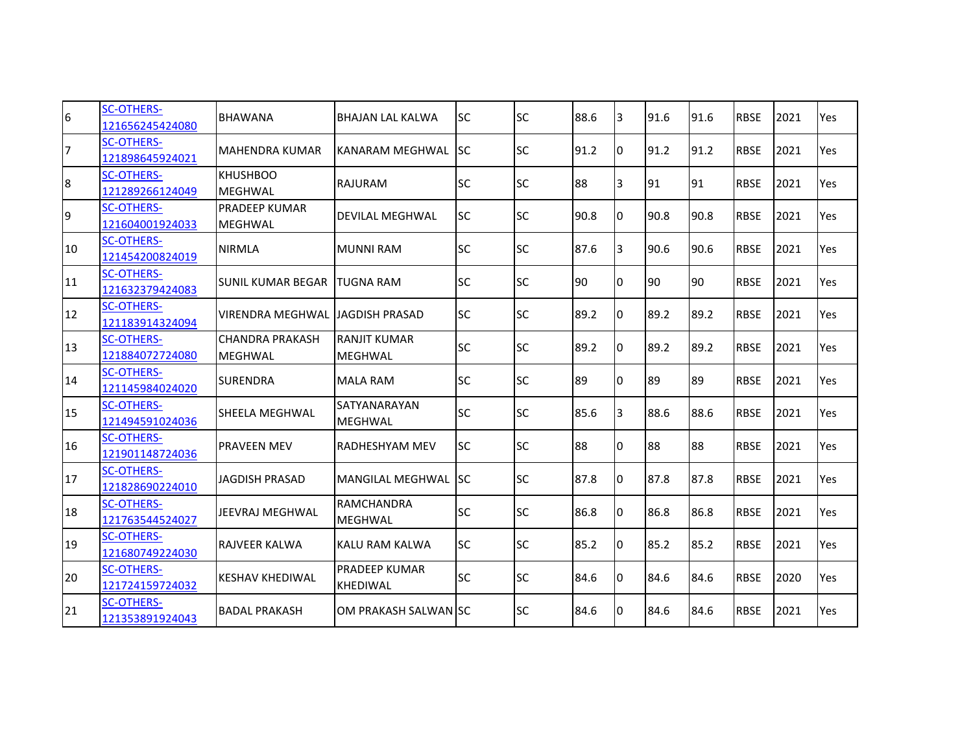| $\sqrt{6}$       | <b>SC-OTHERS-</b><br>121656245424080 | <b>BHAWANA</b>                           | <b>BHAJAN LAL KALWA</b>             | <b>SC</b>  | <b>SC</b> | 88.6 | 3  | 91.6 | 91.6 | <b>RBSE</b> | 2021 | Yes |
|------------------|--------------------------------------|------------------------------------------|-------------------------------------|------------|-----------|------|----|------|------|-------------|------|-----|
| 7                | <b>SC-OTHERS-</b><br>121898645924021 | MAHENDRA KUMAR                           | KANARAM MEGHWAL                     | <b>ISC</b> | <b>SC</b> | 91.2 | Iо | 91.2 | 91.2 | <b>RBSE</b> | 2021 | Yes |
| $\boldsymbol{8}$ | <b>SC-OTHERS-</b><br>121289266124049 | <b>KHUSHBOO</b><br><b>IMEGHWAL</b>       | <b>RAJURAM</b>                      | <b>SC</b>  | <b>SC</b> | 88   | 3  | 91   | 91   | <b>RBSE</b> | 2021 | Yes |
| 9                | <b>SC-OTHERS-</b><br>121604001924033 | <b>PRADEEP KUMAR</b><br>MEGHWAL          | <b>DEVILAL MEGHWAL</b>              | <b>SC</b>  | <b>SC</b> | 90.8 | Iо | 90.8 | 90.8 | <b>RBSE</b> | 2021 | Yes |
| 10               | <b>SC-OTHERS-</b><br>121454200824019 | <b>NIRMLA</b>                            | <b>MUNNI RAM</b>                    | <b>SC</b>  | <b>SC</b> | 87.6 | 3  | 90.6 | 90.6 | <b>RBSE</b> | 2021 | Yes |
| 11               | <b>SC-OTHERS-</b><br>121632379424083 | <b>SUNIL KUMAR BEGAR</b>                 | <b>TUGNA RAM</b>                    | <b>SC</b>  | <b>SC</b> | 90   | Iо | 90   | 90   | <b>RBSE</b> | 2021 | Yes |
| 12               | <b>SC-OTHERS-</b><br>121183914324094 | <b>VIRENDRA MEGHWAL</b>                  | <b>JAGDISH PRASAD</b>               | <b>SC</b>  | <b>SC</b> | 89.2 | Iо | 89.2 | 89.2 | <b>RBSE</b> | 2021 | Yes |
| 13               | <b>SC-OTHERS-</b><br>121884072724080 | <b>CHANDRA PRAKASH</b><br><b>MEGHWAL</b> | RANJIT KUMAR<br><b>MEGHWAL</b>      | <b>SC</b>  | <b>SC</b> | 89.2 | Iо | 89.2 | 89.2 | <b>RBSE</b> | 2021 | Yes |
| 14               | <b>SC-OTHERS-</b><br>121145984024020 | <b>SURENDRA</b>                          | <b>MALA RAM</b>                     | <b>SC</b>  | <b>SC</b> | 89   | Iо | 89   | 89   | <b>RBSE</b> | 2021 | Yes |
| 15               | <b>SC-OTHERS-</b><br>121494591024036 | <b>SHEELA MEGHWAL</b>                    | SATYANARAYAN<br><b>MEGHWAL</b>      | <b>SC</b>  | <b>SC</b> | 85.6 | 13 | 88.6 | 88.6 | <b>RBSE</b> | 2021 | Yes |
| 16               | <b>SC-OTHERS-</b><br>121901148724036 | <b>PRAVEEN MEV</b>                       | RADHESHYAM MEV                      | <b>SC</b>  | <b>SC</b> | 88   | Iо | 88   | 88   | <b>RBSE</b> | 2021 | Yes |
| 17               | <b>SC-OTHERS-</b><br>121828690224010 | <b>JAGDISH PRASAD</b>                    | MANGILAL MEGHWAL SC                 |            | <b>SC</b> | 87.8 | Iо | 87.8 | 87.8 | <b>RBSE</b> | 2021 | Yes |
| 18               | <b>SC-OTHERS-</b><br>121763544524027 | JEEVRAJ MEGHWAL                          | <b>RAMCHANDRA</b><br><b>MEGHWAL</b> | <b>SC</b>  | <b>SC</b> | 86.8 | Iо | 86.8 | 86.8 | <b>RBSE</b> | 2021 | Yes |
| 19               | <b>SC-OTHERS-</b><br>121680749224030 | IRAJVEER KALWA                           | KALU RAM KALWA                      | <b>SC</b>  | <b>SC</b> | 85.2 | Iо | 85.2 | 85.2 | <b>RBSE</b> | 2021 | Yes |
| 20               | <b>SC-OTHERS-</b><br>121724159724032 | <b>KESHAV KHEDIWAL</b>                   | PRADEEP KUMAR<br><b>KHEDIWAL</b>    | <b>SC</b>  | <b>SC</b> | 84.6 | Iо | 84.6 | 84.6 | <b>RBSE</b> | 2020 | Yes |
| 21               | <b>SC-OTHERS-</b><br>121353891924043 | <b>BADAL PRAKASH</b>                     | OM PRAKASH SALWAN SC                |            | lsc       | 84.6 | 10 | 84.6 | 84.6 | <b>RBSE</b> | 2021 | Yes |